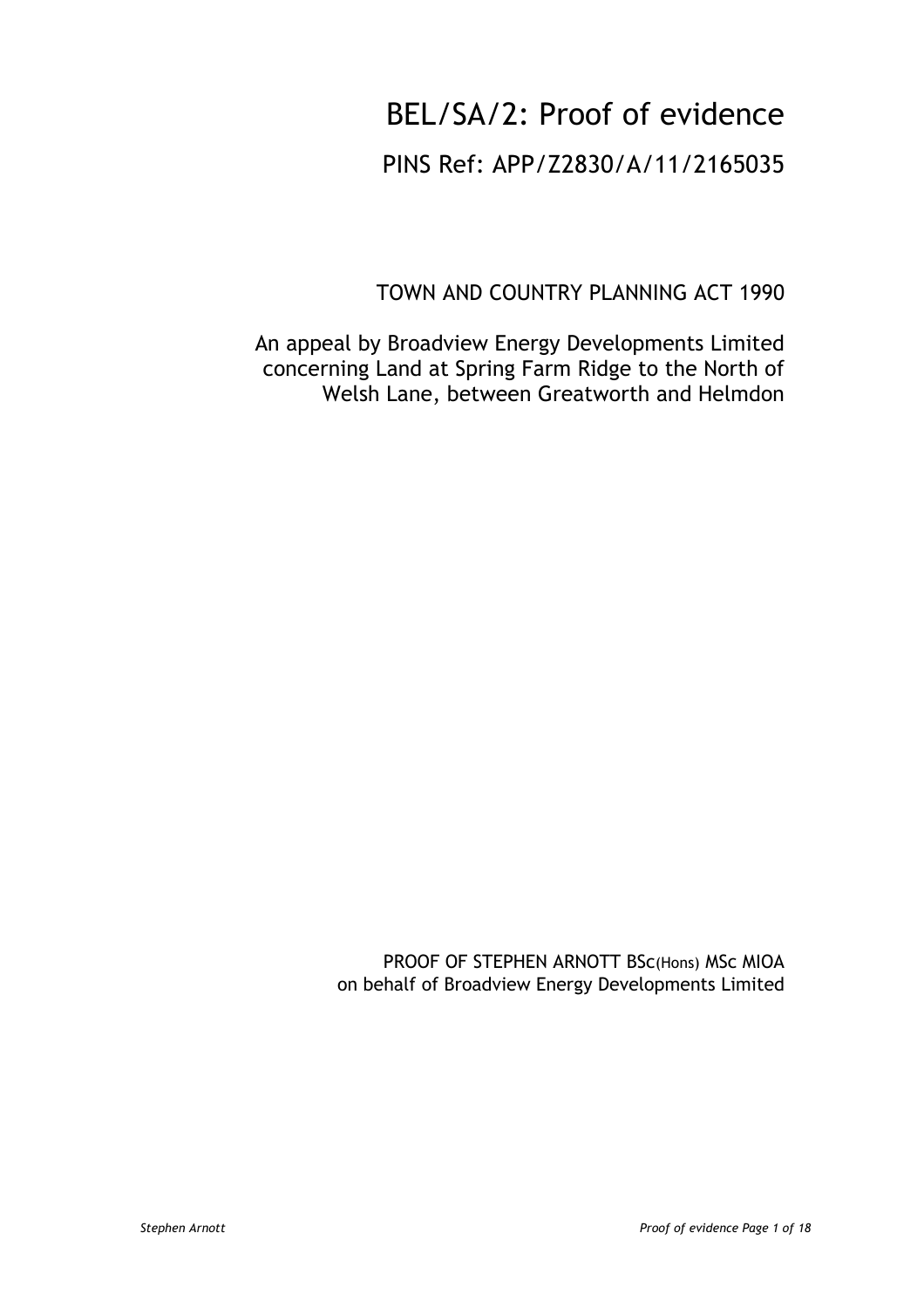# BEL/SA/2: Proof of evidence

## PINS Ref: APP/Z2830/A/11/2165035

TOWN AND COUNTRY PLANNING ACT 1990

An appeal by Broadview Energy Developments Limited concerning Land at Spring Farm Ridge to the North of Welsh Lane, between Greatworth and Helmdon

> PROOF OF STEPHEN ARNOTT BSc(Hons) MSc MIOA on behalf of Broadview Energy Developments Limited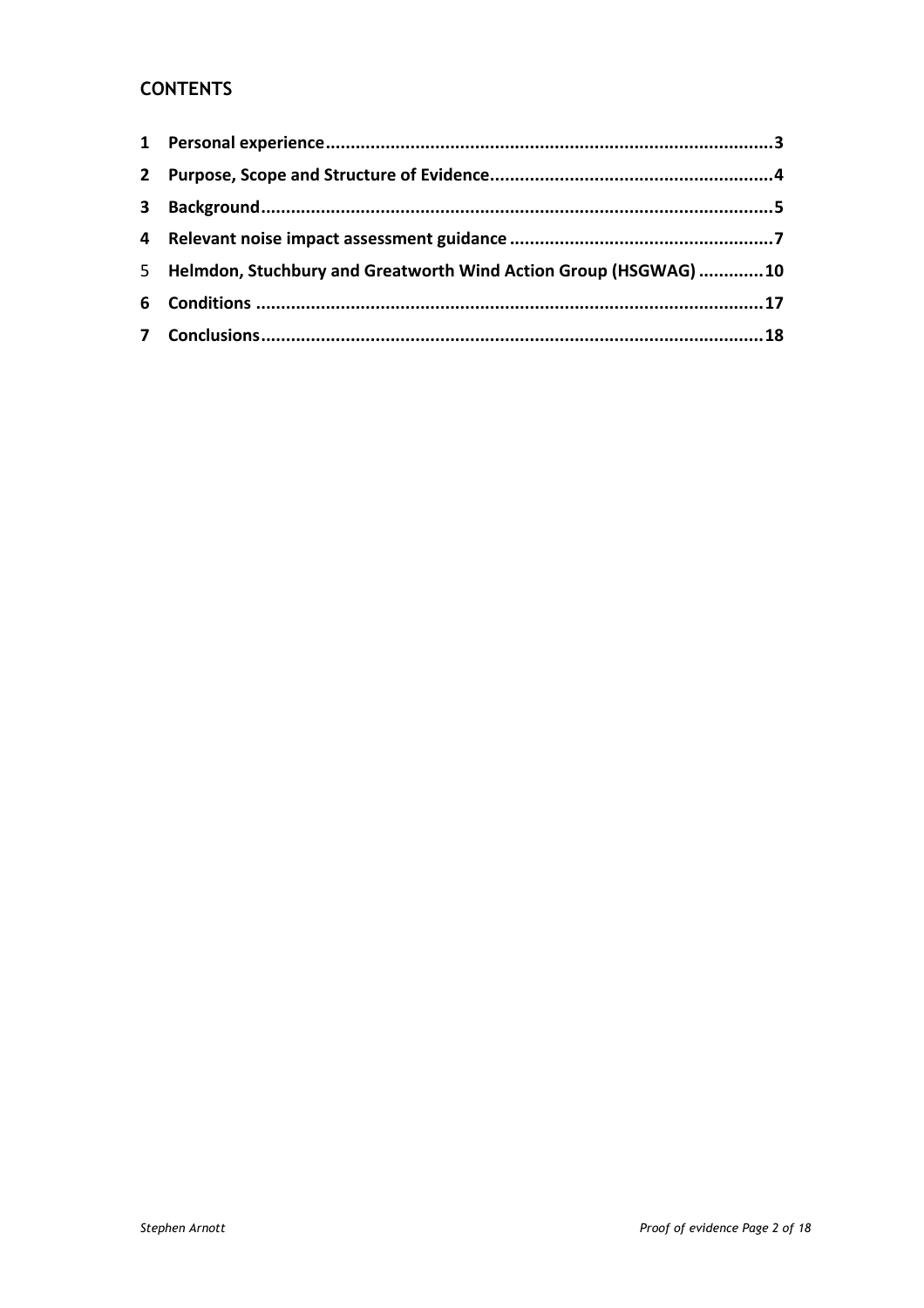## **CONTENTS**

| 5 Helmdon, Stuchbury and Greatworth Wind Action Group (HSGWAG) 10 |  |
|-------------------------------------------------------------------|--|
|                                                                   |  |
|                                                                   |  |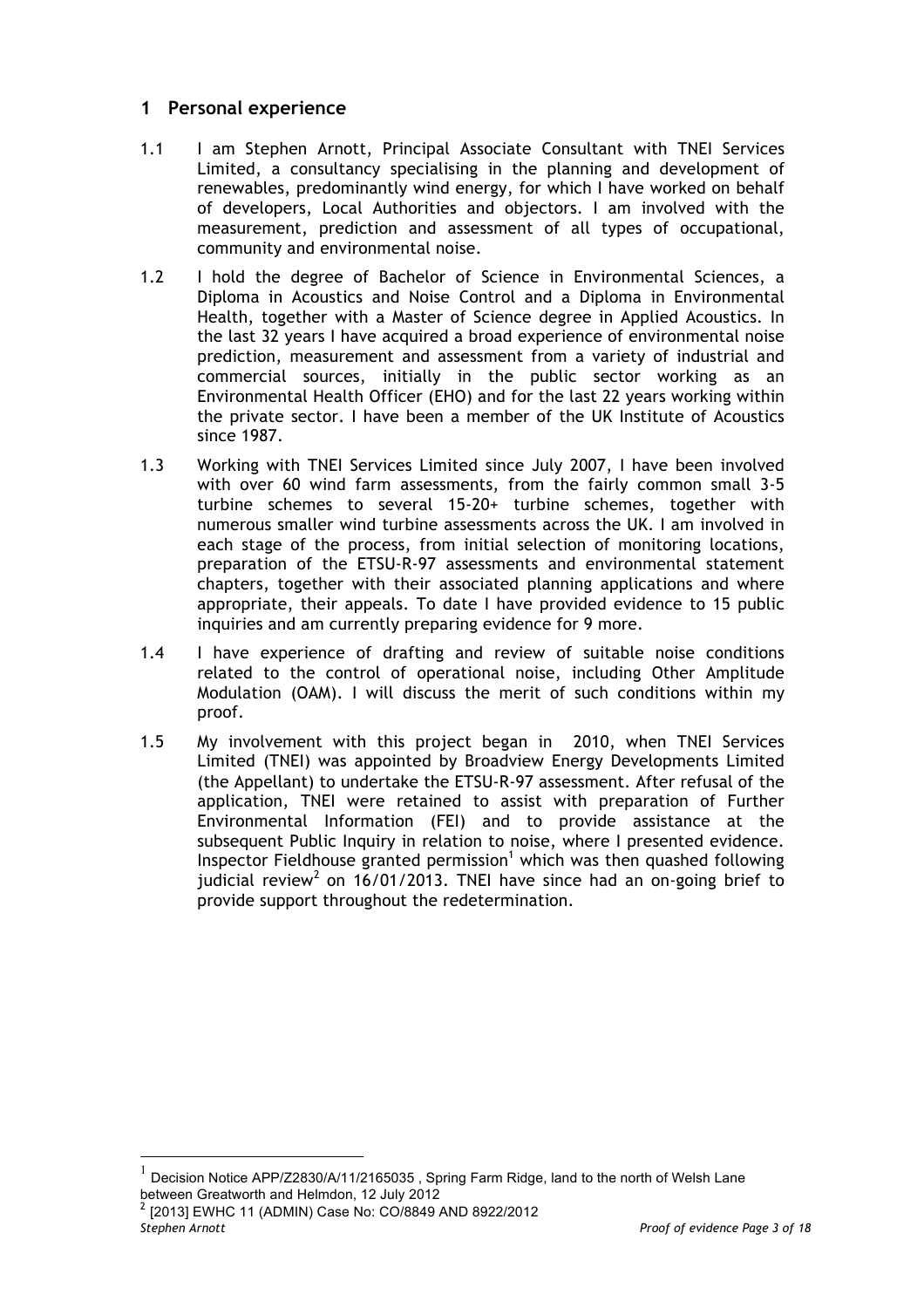## **1 Personal experience**

- 1.1 I am Stephen Arnott, Principal Associate Consultant with TNEI Services Limited, a consultancy specialising in the planning and development of renewables, predominantly wind energy, for which I have worked on behalf of developers, Local Authorities and objectors. I am involved with the measurement, prediction and assessment of all types of occupational, community and environmental noise.
- 1.2 I hold the degree of Bachelor of Science in Environmental Sciences, a Diploma in Acoustics and Noise Control and a Diploma in Environmental Health, together with a Master of Science degree in Applied Acoustics. In the last 32 years I have acquired a broad experience of environmental noise prediction, measurement and assessment from a variety of industrial and commercial sources, initially in the public sector working as an Environmental Health Officer (EHO) and for the last 22 years working within the private sector. I have been a member of the UK Institute of Acoustics since 1987.
- 1.3 Working with TNEI Services Limited since July 2007, I have been involved with over 60 wind farm assessments, from the fairly common small 3-5 turbine schemes to several 15-20+ turbine schemes, together with numerous smaller wind turbine assessments across the UK. I am involved in each stage of the process, from initial selection of monitoring locations, preparation of the ETSU-R-97 assessments and environmental statement chapters, together with their associated planning applications and where appropriate, their appeals. To date I have provided evidence to 15 public inquiries and am currently preparing evidence for 9 more.
- 1.4 I have experience of drafting and review of suitable noise conditions related to the control of operational noise, including Other Amplitude Modulation (OAM). I will discuss the merit of such conditions within my proof.
- 1.5 My involvement with this project began in 2010, when TNEI Services Limited (TNEI) was appointed by Broadview Energy Developments Limited (the Appellant) to undertake the ETSU-R-97 assessment. After refusal of the application, TNEI were retained to assist with preparation of Further Environmental Information (FEI) and to provide assistance at the subsequent Public Inquiry in relation to noise, where I presented evidence. Inspector Fieldhouse granted permission<sup>1</sup> which was then quashed following judicial review<sup>2</sup> on 16/01/2013. TNEI have since had an on-going brief to provide support throughout the redetermination.

 $^1$  Decision Notice APP/Z2830/A/11/2165035 , Spring Farm Ridge, land to the north of Welsh Lane between Greatworth and Helmdon, 12 July 2012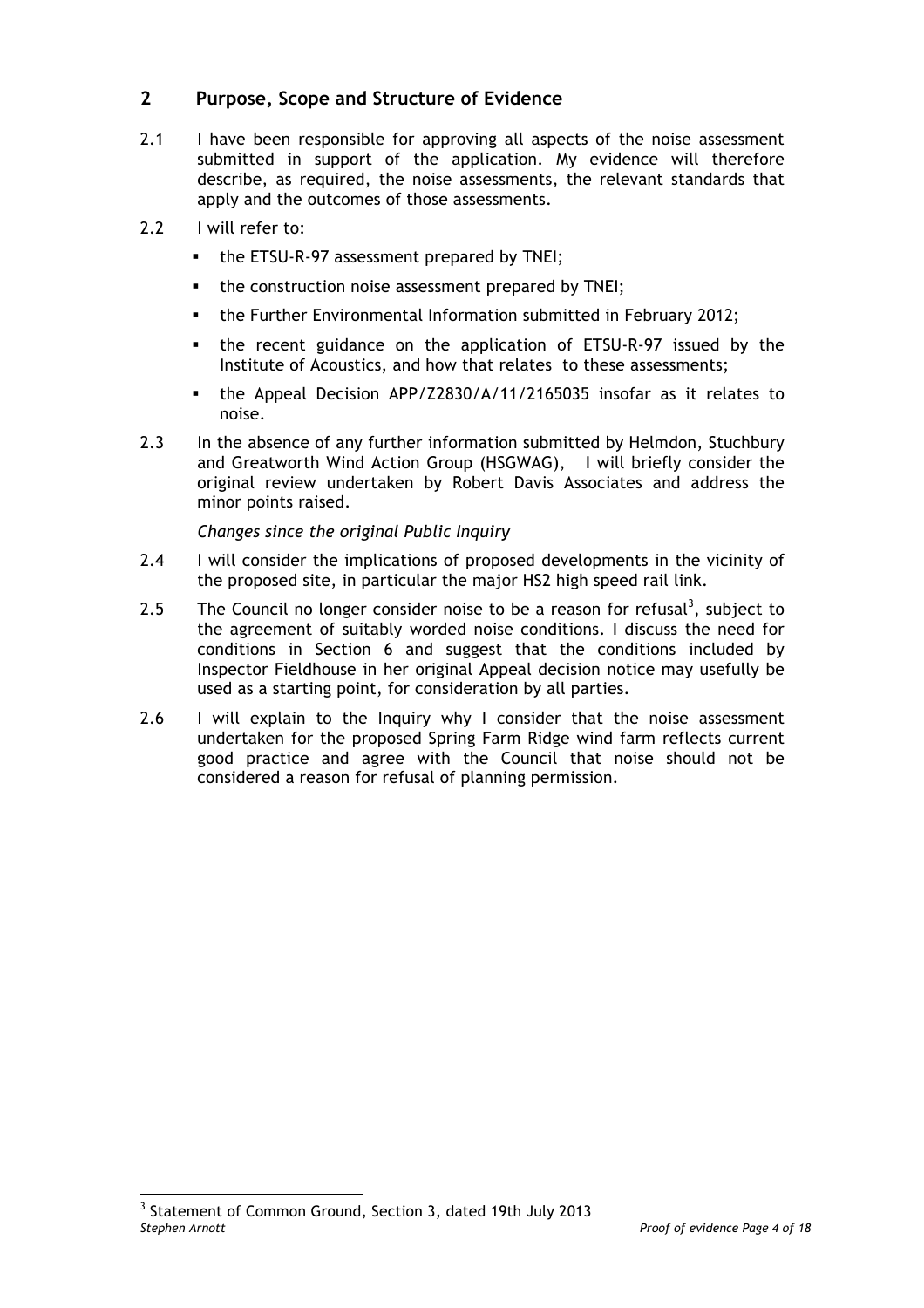## **2 Purpose, Scope and Structure of Evidence**

- 2.1 I have been responsible for approving all aspects of the noise assessment submitted in support of the application. My evidence will therefore describe, as required, the noise assessments, the relevant standards that apply and the outcomes of those assessments.
- 2.2 I will refer to:
	- the ETSU-R-97 assessment prepared by TNEI;
	- the construction noise assessment prepared by TNEI;
	- § the Further Environmental Information submitted in February 2012;
	- § the recent guidance on the application of ETSU-R-97 issued by the Institute of Acoustics, and how that relates to these assessments;
	- § the Appeal Decision APP/Z2830/A/11/2165035 insofar as it relates to noise.
- 2.3 In the absence of any further information submitted by Helmdon, Stuchbury and Greatworth Wind Action Group (HSGWAG), I will briefly consider the original review undertaken by Robert Davis Associates and address the minor points raised.

*Changes since the original Public Inquiry*

- 2.4 I will consider the implications of proposed developments in the vicinity of the proposed site, in particular the major HS2 high speed rail link.
- 2.5 The Council no longer consider noise to be a reason for refusal<sup>3</sup>, subject to the agreement of suitably worded noise conditions. I discuss the need for conditions in Section 6 and suggest that the conditions included by Inspector Fieldhouse in her original Appeal decision notice may usefully be used as a starting point, for consideration by all parties.
- 2.6 I will explain to the Inquiry why I consider that the noise assessment undertaken for the proposed Spring Farm Ridge wind farm reflects current good practice and agree with the Council that noise should not be considered a reason for refusal of planning permission.

*Stephen Arnott Proof of evidence Page 4 of 18* <sup>3</sup> Statement of Common Ground, Section 3, dated 19th July 2013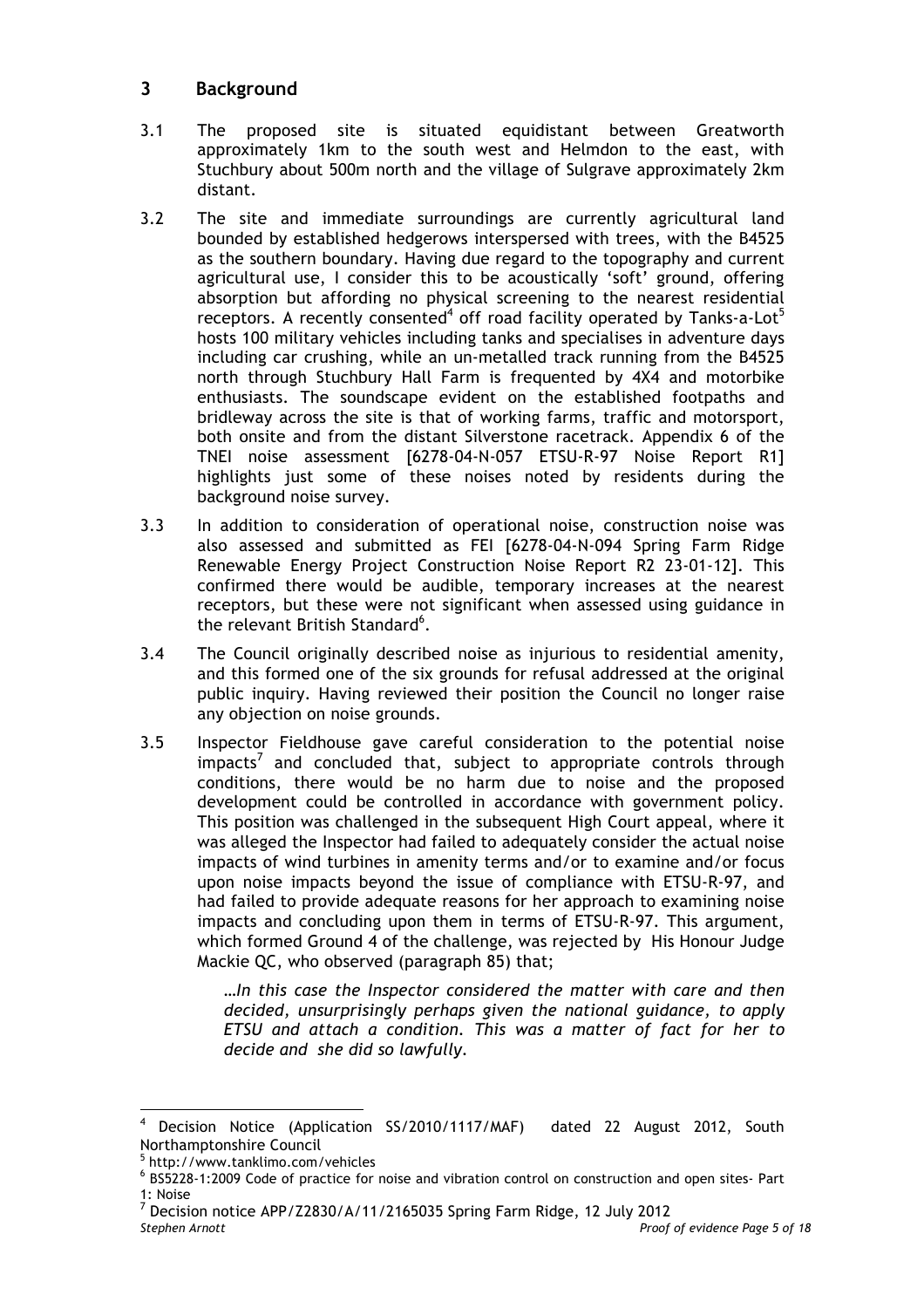## **3 Background**

- 3.1 The proposed site is situated equidistant between Greatworth approximately 1km to the south west and Helmdon to the east, with Stuchbury about 500m north and the village of Sulgrave approximately 2km distant.
- 3.2 The site and immediate surroundings are currently agricultural land bounded by established hedgerows interspersed with trees, with the B4525 as the southern boundary. Having due regard to the topography and current agricultural use, I consider this to be acoustically 'soft' ground, offering absorption but affording no physical screening to the nearest residential receptors. A recently consented<sup>4</sup> off road facility operated by Tanks-a-Lot<sup>5</sup> hosts 100 military vehicles including tanks and specialises in adventure days including car crushing, while an un-metalled track running from the B4525 north through Stuchbury Hall Farm is frequented by 4X4 and motorbike enthusiasts. The soundscape evident on the established footpaths and bridleway across the site is that of working farms, traffic and motorsport, both onsite and from the distant Silverstone racetrack. Appendix 6 of the TNEI noise assessment [6278-04-N-057 ETSU-R-97 Noise Report R1] highlights just some of these noises noted by residents during the background noise survey.
- 3.3 In addition to consideration of operational noise, construction noise was also assessed and submitted as FEI [6278-04-N-094 Spring Farm Ridge Renewable Energy Project Construction Noise Report R2 23-01-12]. This confirmed there would be audible, temporary increases at the nearest receptors, but these were not significant when assessed using guidance in the relevant British Standard<sup>6</sup>.
- 3.4 The Council originally described noise as injurious to residential amenity, and this formed one of the six grounds for refusal addressed at the original public inquiry. Having reviewed their position the Council no longer raise any objection on noise grounds.
- 3.5 Inspector Fieldhouse gave careful consideration to the potential noise  $impacts<sup>7</sup>$  and concluded that, subject to appropriate controls through conditions, there would be no harm due to noise and the proposed development could be controlled in accordance with government policy. This position was challenged in the subsequent High Court appeal, where it was alleged the Inspector had failed to adequately consider the actual noise impacts of wind turbines in amenity terms and/or to examine and/or focus upon noise impacts beyond the issue of compliance with ETSU-R-97, and had failed to provide adequate reasons for her approach to examining noise impacts and concluding upon them in terms of ETSU-R-97. This argument, which formed Ground 4 of the challenge, was rejected by His Honour Judge Mackie QC, who observed (paragraph 85) that;

*…In this case the Inspector considered the matter with care and then decided, unsurprisingly perhaps given the national guidance, to apply ETSU and attach a condition. This was a matter of fact for her to decide and she did so lawfully.*

Decision Notice (Application SS/2010/1117/MAF) dated 22 August 2012, South Northamptonshire Council<br><sup>5</sup> http://www.tanklimo.com/vehicles

 $6$  BS5228-1:2009 Code of practice for noise and vibration control on construction and open sites- Part 1: Noise

*Stephen Arnott Proof of evidence Page 5 of 18* <sup>7</sup> Decision notice APP/Z2830/A/11/2165035 Spring Farm Ridge, 12 July 2012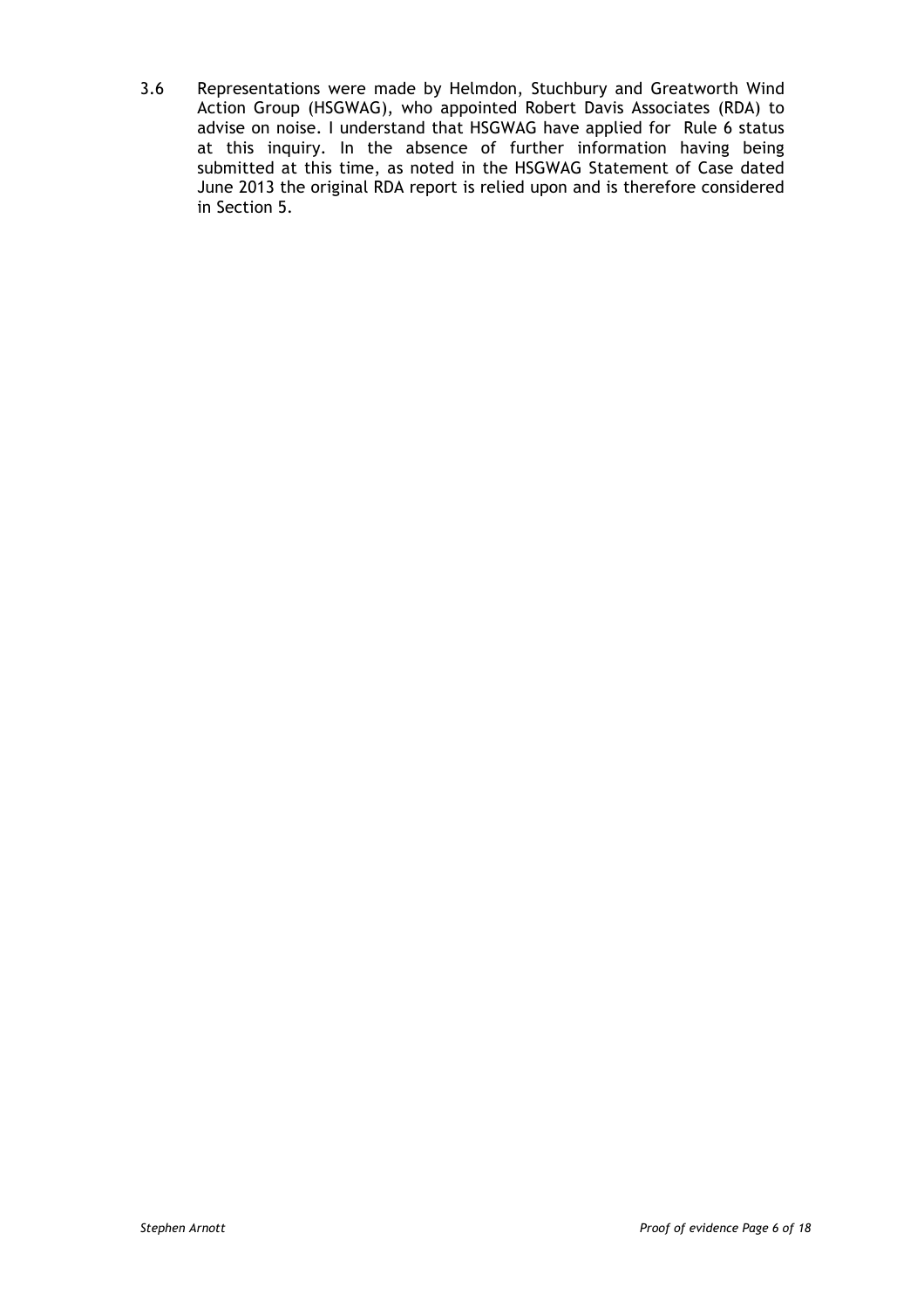3.6 Representations were made by Helmdon, Stuchbury and Greatworth Wind Action Group (HSGWAG), who appointed Robert Davis Associates (RDA) to advise on noise. I understand that HSGWAG have applied for Rule 6 status at this inquiry. In the absence of further information having being submitted at this time, as noted in the HSGWAG Statement of Case dated June 2013 the original RDA report is relied upon and is therefore considered in Section 5.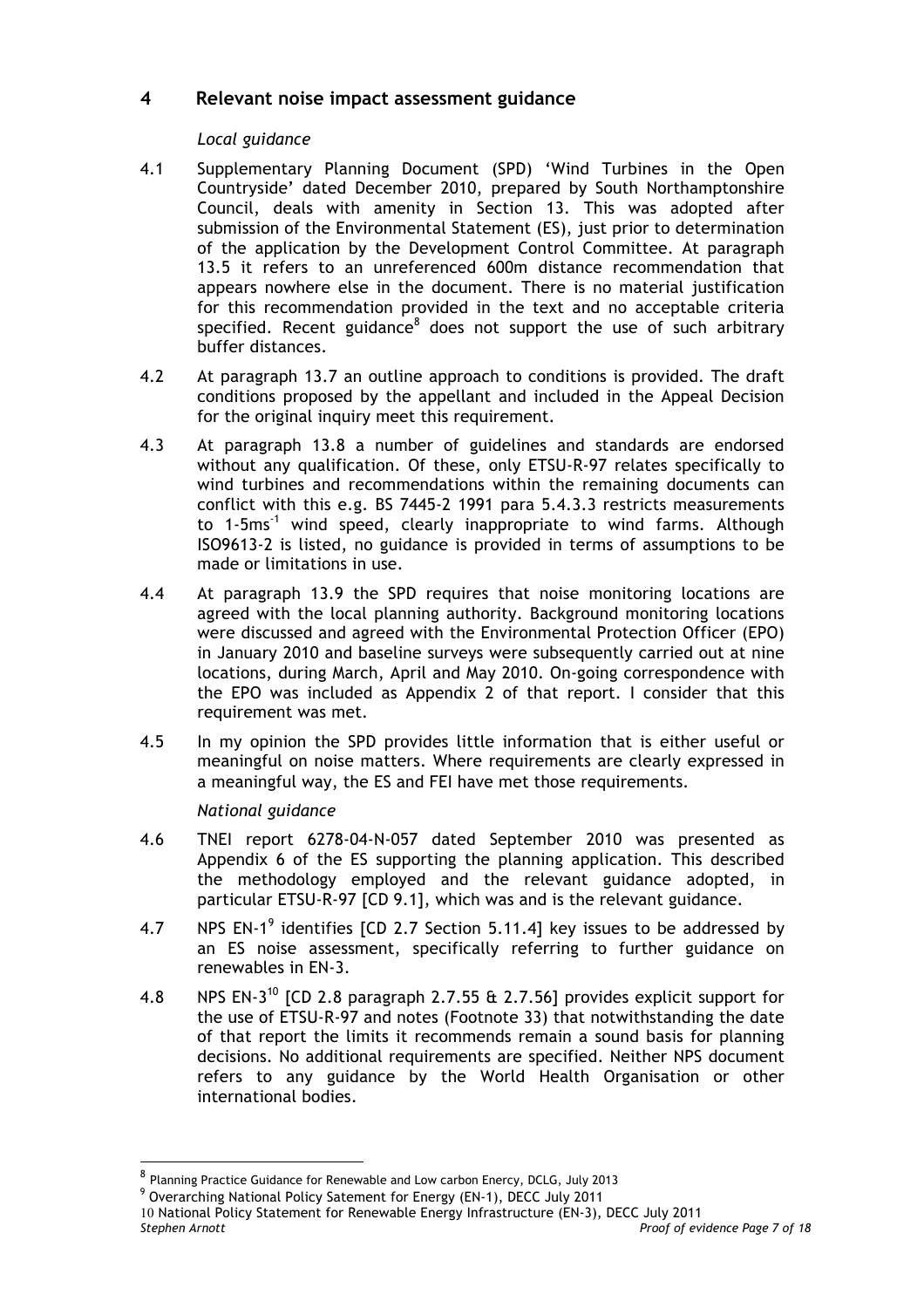## **4 Relevant noise impact assessment guidance**

#### *Local guidance*

- 4.1 Supplementary Planning Document (SPD) 'Wind Turbines in the Open Countryside' dated December 2010, prepared by South Northamptonshire Council, deals with amenity in Section 13. This was adopted after submission of the Environmental Statement (ES), just prior to determination of the application by the Development Control Committee. At paragraph 13.5 it refers to an unreferenced 600m distance recommendation that appears nowhere else in the document. There is no material justification for this recommendation provided in the text and no acceptable criteria specified. Recent guidance $8$  does not support the use of such arbitrary buffer distances.
- 4.2 At paragraph 13.7 an outline approach to conditions is provided. The draft conditions proposed by the appellant and included in the Appeal Decision for the original inquiry meet this requirement.
- 4.3 At paragraph 13.8 a number of guidelines and standards are endorsed without any qualification. Of these, only ETSU-R-97 relates specifically to wind turbines and recommendations within the remaining documents can conflict with this e.g. BS 7445-2 1991 para 5.4.3.3 restricts measurements to 1-5 $ms<sup>-1</sup>$  wind speed, clearly inappropriate to wind farms. Although ISO9613-2 is listed, no guidance is provided in terms of assumptions to be made or limitations in use.
- 4.4 At paragraph 13.9 the SPD requires that noise monitoring locations are agreed with the local planning authority. Background monitoring locations were discussed and agreed with the Environmental Protection Officer (EPO) in January 2010 and baseline surveys were subsequently carried out at nine locations, during March, April and May 2010. On-going correspondence with the EPO was included as Appendix 2 of that report. I consider that this requirement was met.
- 4.5 In my opinion the SPD provides little information that is either useful or meaningful on noise matters. Where requirements are clearly expressed in a meaningful way, the ES and FEI have met those requirements.

#### *National guidance*

- 4.6 TNEI report 6278-04-N-057 dated September 2010 was presented as Appendix 6 of the ES supporting the planning application. This described the methodology employed and the relevant guidance adopted, in particular ETSU-R-97 [CD 9.1], which was and is the relevant guidance.
- 4.7 NPS EN-1<sup>9</sup> identifies [CD 2.7 Section 5.11.4] key issues to be addressed by an ES noise assessment, specifically referring to further guidance on renewables in EN-3.
- 4.8 NPS EN-3<sup>10</sup> [CD 2.8 paragraph 2.7.55 & 2.7.56] provides explicit support for the use of ETSU-R-97 and notes (Footnote 33) that notwithstanding the date of that report the limits it recommends remain a sound basis for planning decisions. No additional requirements are specified. Neither NPS document refers to any guidance by the World Health Organisation or other international bodies.

<sup>8</sup> Planning Practice Guidance for Renewable and Low carbon Enercy, DCLG, July 2013

<sup>&</sup>lt;sup>9</sup> Overarching National Policy Satement for Energy (EN-1), DECC July 2011

*Stephen Arnott Proof of evidence Page 7 of 18* 10 National Policy Statement for Renewable Energy Infrastructure (EN-3), DECC July 2011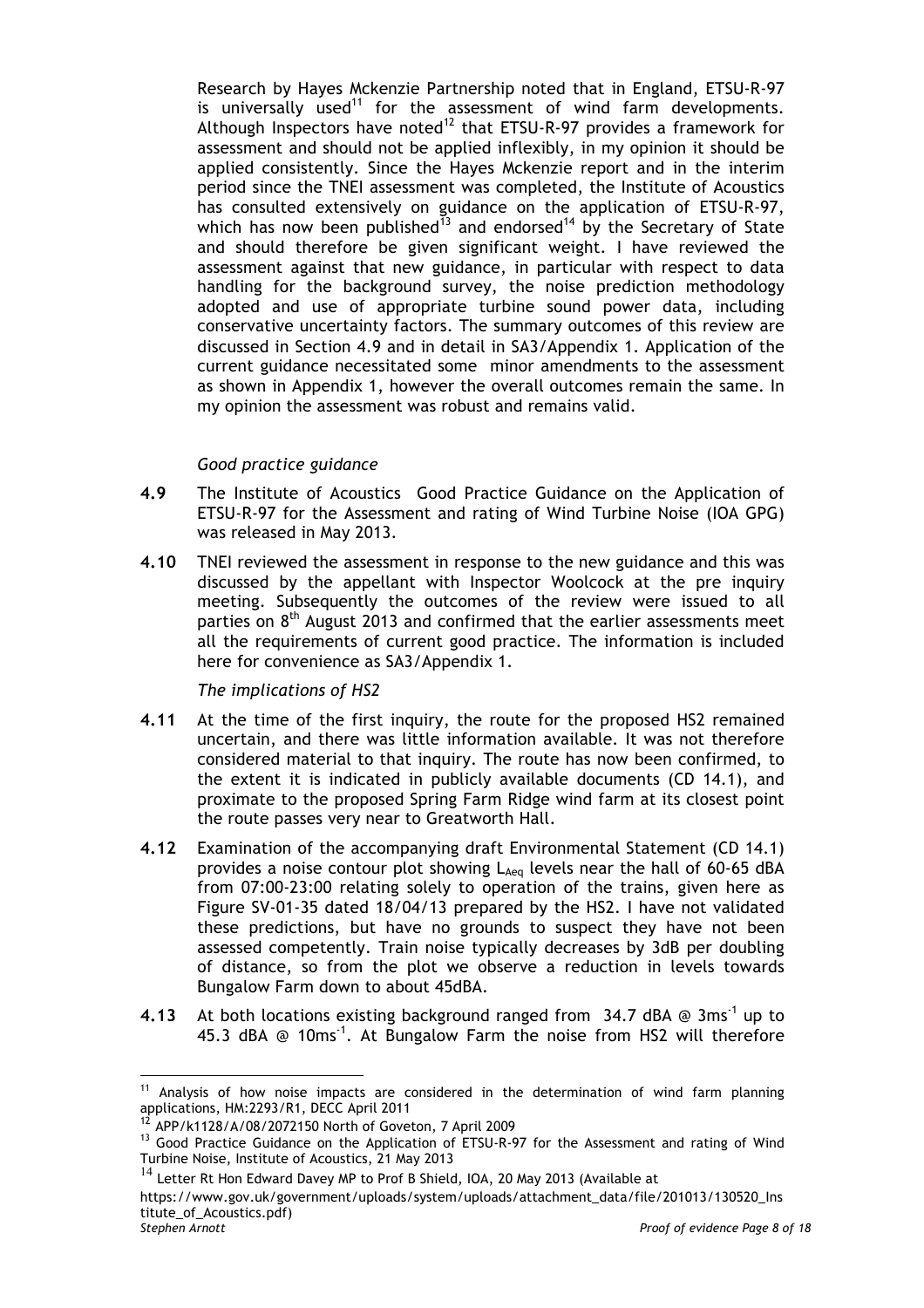Research by Hayes Mckenzie Partnership noted that in England, ETSU-R-97 is universally used<sup>11</sup> for the assessment of wind farm developments. Although Inspectors have noted<sup>12</sup> that ETSU-R-97 provides a framework for assessment and should not be applied inflexibly, in my opinion it should be applied consistently. Since the Hayes Mckenzie report and in the interim period since the TNEI assessment was completed, the Institute of Acoustics has consulted extensively on guidance on the application of ETSU-R-97, which has now been published<sup>13</sup> and endorsed<sup>14</sup> by the Secretary of State and should therefore be given significant weight. I have reviewed the assessment against that new guidance, in particular with respect to data handling for the background survey, the noise prediction methodology adopted and use of appropriate turbine sound power data, including conservative uncertainty factors. The summary outcomes of this review are discussed in Section 4.9 and in detail in SA3/Appendix 1. Application of the current guidance necessitated some minor amendments to the assessment as shown in Appendix 1, however the overall outcomes remain the same. In my opinion the assessment was robust and remains valid.

#### *Good practice guidance*

- **4.9** The Institute of Acoustics Good Practice Guidance on the Application of ETSU-R-97 for the Assessment and rating of Wind Turbine Noise (IOA GPG) was released in May 2013.
- **4.10** TNEI reviewed the assessment in response to the new guidance and this was discussed by the appellant with Inspector Woolcock at the pre inquiry meeting. Subsequently the outcomes of the review were issued to all parties on 8<sup>th</sup> August 2013 and confirmed that the earlier assessments meet all the requirements of current good practice. The information is included here for convenience as SA3/Appendix 1.

*The implications of HS2*

- **4.11** At the time of the first inquiry, the route for the proposed HS2 remained uncertain, and there was little information available. It was not therefore considered material to that inquiry. The route has now been confirmed, to the extent it is indicated in publicly available documents (CD 14.1), and proximate to the proposed Spring Farm Ridge wind farm at its closest point the route passes very near to Greatworth Hall.
- **4.12** Examination of the accompanying draft Environmental Statement (CD 14.1) provides a noise contour plot showing  $L_{Aeq}$  levels near the hall of 60-65 dBA from 07:00-23:00 relating solely to operation of the trains, given here as Figure SV-01-35 dated 18/04/13 prepared by the HS2. I have not validated these predictions, but have no grounds to suspect they have not been assessed competently. Train noise typically decreases by 3dB per doubling of distance, so from the plot we observe a reduction in levels towards Bungalow Farm down to about 45dBA.
- **4.13** At both locations existing background ranged from 34.7 dBA @ 3ms-1 up to 45.3 dBA  $\odot$  10ms<sup>-1</sup>. At Bungalow Farm the noise from HS2 will therefore

<sup>&</sup>lt;sup>11</sup> Analysis of how noise impacts are considered in the determination of wind farm planning applications, HM:2293/R1, DECC April 2011

<sup>&</sup>lt;sup>12</sup> APP/k1128/A/08/2072150 North of Goveton, 7 April 2009<br><sup>13</sup> Good Practice Guidance on the Application of ETSU-R-97 for the Assessment and rating of Wind Turbine Noise, Institute of Acoustics, 21 May 2013

<sup>14</sup> Letter Rt Hon Edward Davey MP to Prof B Shield, IOA, 20 May 2013 (Available at

*Stephen Arnott Proof of evidence Page 8 of 18* https://www.gov.uk/government/uploads/system/uploads/attachment\_data/file/201013/130520\_Ins titute\_of\_Acoustics.pdf)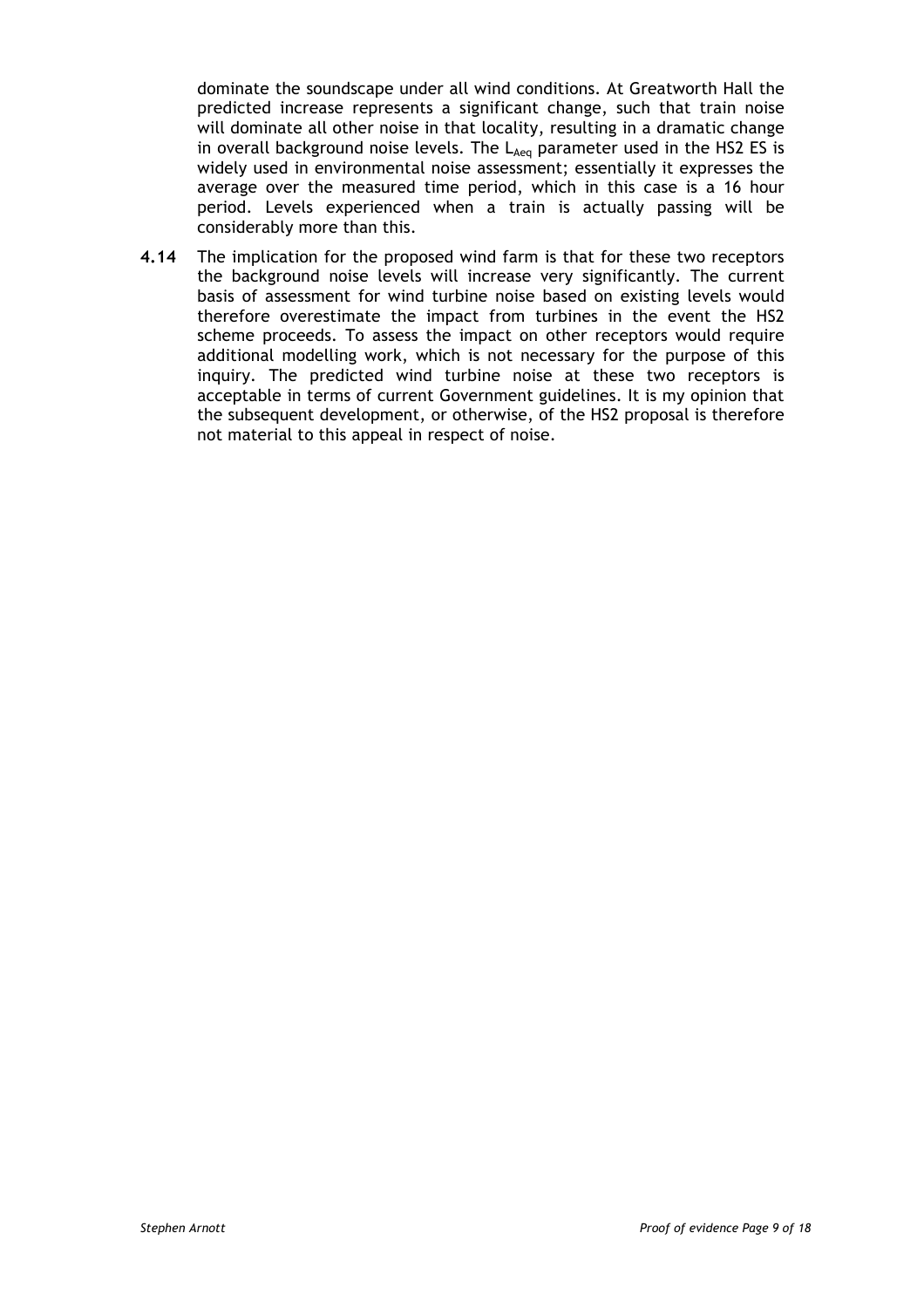dominate the soundscape under all wind conditions. At Greatworth Hall the predicted increase represents a significant change, such that train noise will dominate all other noise in that locality, resulting in a dramatic change in overall background noise levels. The  $L_{Aeq}$  parameter used in the HS2 ES is widely used in environmental noise assessment; essentially it expresses the average over the measured time period, which in this case is a 16 hour period. Levels experienced when a train is actually passing will be considerably more than this.

**4.14** The implication for the proposed wind farm is that for these two receptors the background noise levels will increase very significantly. The current basis of assessment for wind turbine noise based on existing levels would therefore overestimate the impact from turbines in the event the HS2 scheme proceeds. To assess the impact on other receptors would require additional modelling work, which is not necessary for the purpose of this inquiry. The predicted wind turbine noise at these two receptors is acceptable in terms of current Government guidelines. It is my opinion that the subsequent development, or otherwise, of the HS2 proposal is therefore not material to this appeal in respect of noise.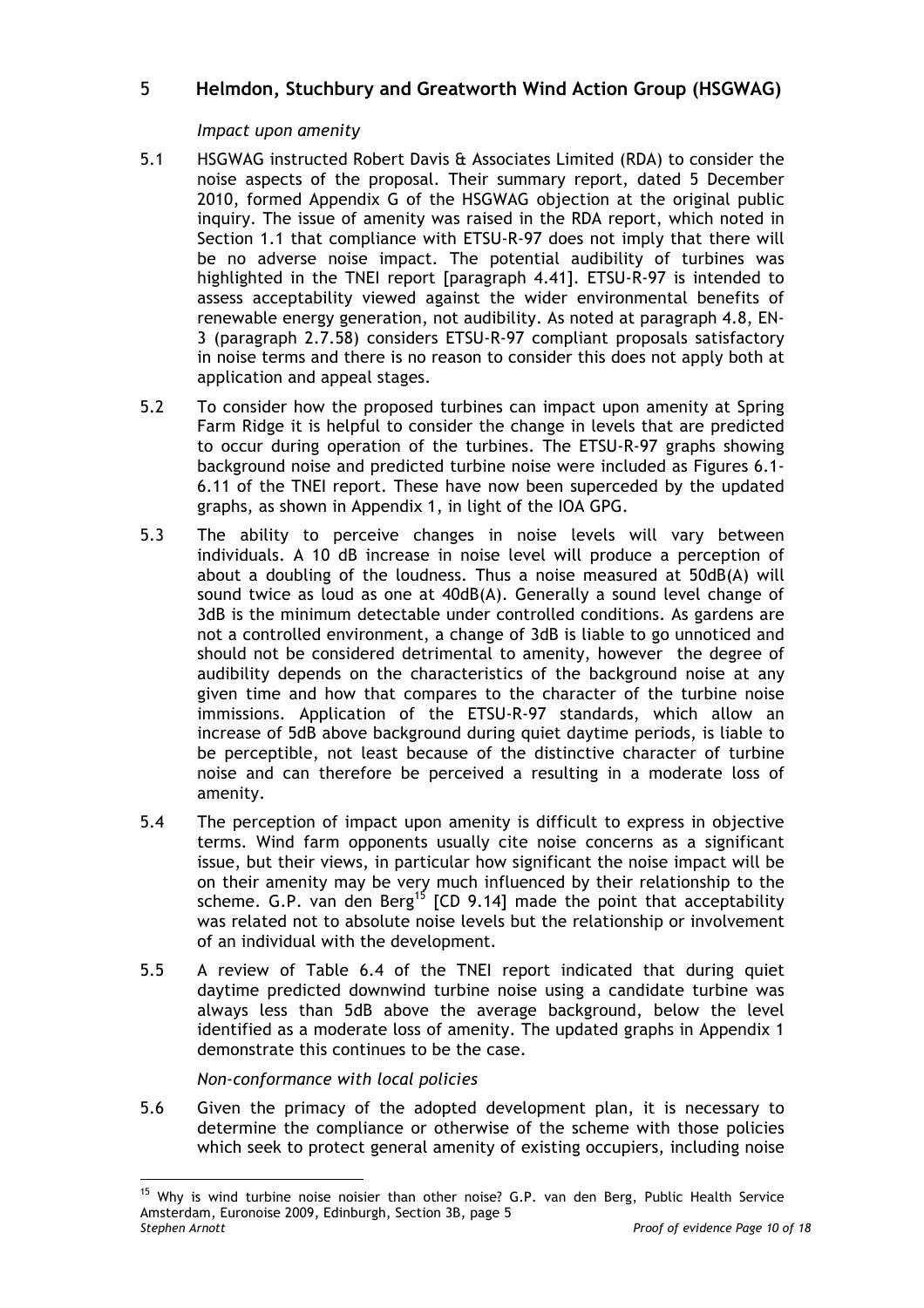## 5 **Helmdon, Stuchbury and Greatworth Wind Action Group (HSGWAG)**

#### *Impact upon amenity*

- 5.1 HSGWAG instructed Robert Davis & Associates Limited (RDA) to consider the noise aspects of the proposal. Their summary report, dated 5 December 2010, formed Appendix G of the HSGWAG objection at the original public inquiry. The issue of amenity was raised in the RDA report, which noted in Section 1.1 that compliance with ETSU-R-97 does not imply that there will be no adverse noise impact. The potential audibility of turbines was highlighted in the TNEI report [paragraph 4.41]. ETSU-R-97 is intended to assess acceptability viewed against the wider environmental benefits of renewable energy generation, not audibility. As noted at paragraph 4.8, EN-3 (paragraph 2.7.58) considers ETSU-R-97 compliant proposals satisfactory in noise terms and there is no reason to consider this does not apply both at application and appeal stages.
- 5.2 To consider how the proposed turbines can impact upon amenity at Spring Farm Ridge it is helpful to consider the change in levels that are predicted to occur during operation of the turbines. The ETSU-R-97 graphs showing background noise and predicted turbine noise were included as Figures 6.1- 6.11 of the TNEI report. These have now been superceded by the updated graphs, as shown in Appendix 1, in light of the IOA GPG.
- 5.3 The ability to perceive changes in noise levels will vary between individuals. A 10 dB increase in noise level will produce a perception of about a doubling of the loudness. Thus a noise measured at 50dB(A) will sound twice as loud as one at 40dB(A). Generally a sound level change of 3dB is the minimum detectable under controlled conditions. As gardens are not a controlled environment, a change of 3dB is liable to go unnoticed and should not be considered detrimental to amenity, however the degree of audibility depends on the characteristics of the background noise at any given time and how that compares to the character of the turbine noise immissions. Application of the ETSU-R-97 standards, which allow an increase of 5dB above background during quiet daytime periods, is liable to be perceptible, not least because of the distinctive character of turbine noise and can therefore be perceived a resulting in a moderate loss of amenity.
- 5.4 The perception of impact upon amenity is difficult to express in objective terms. Wind farm opponents usually cite noise concerns as a significant issue, but their views, in particular how significant the noise impact will be on their amenity may be very much influenced by their relationship to the scheme. G.P. van den Berg<sup>15</sup> [CD 9.14] made the point that acceptability was related not to absolute noise levels but the relationship or involvement of an individual with the development.
- 5.5 A review of Table 6.4 of the TNEI report indicated that during quiet daytime predicted downwind turbine noise using a candidate turbine was always less than 5dB above the average background, below the level identified as a moderate loss of amenity. The updated graphs in Appendix 1 demonstrate this continues to be the case.

#### *Non-conformance with local policies*

 $\overline{a}$ 

5.6 Given the primacy of the adopted development plan, it is necessary to determine the compliance or otherwise of the scheme with those policies which seek to protect general amenity of existing occupiers, including noise

*Stephen Arnott Proof of evidence Page 10 of 18* <sup>15</sup> Why is wind turbine noise noisier than other noise? G.P. van den Berg, Public Health Service Amsterdam, Euronoise 2009, Edinburgh, Section 3B, page 5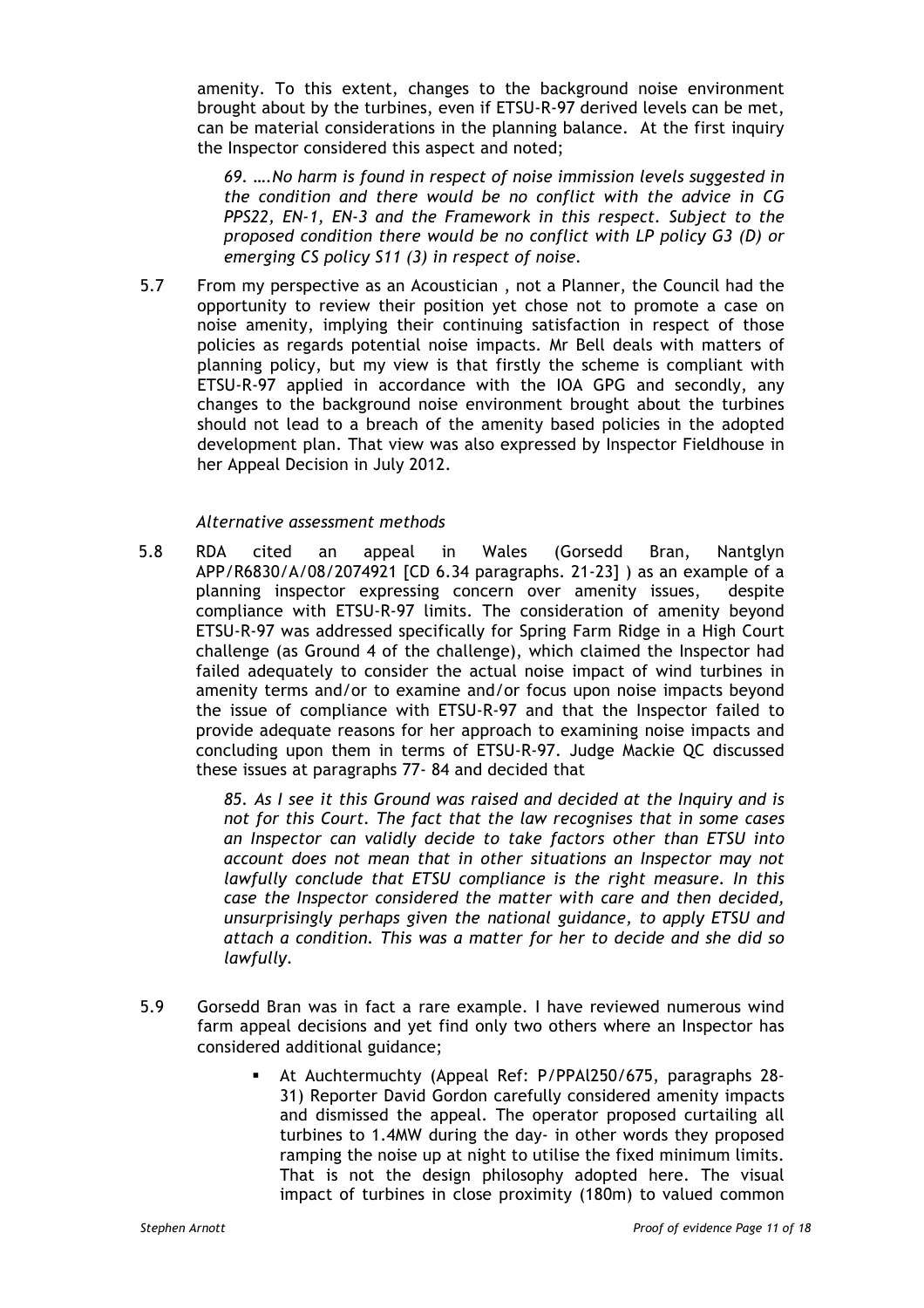amenity. To this extent, changes to the background noise environment brought about by the turbines, even if ETSU-R-97 derived levels can be met, can be material considerations in the planning balance. At the first inquiry the Inspector considered this aspect and noted;

*69. ….No harm is found in respect of noise immission levels suggested in the condition and there would be no conflict with the advice in CG PPS22, EN-1, EN-3 and the Framework in this respect. Subject to the proposed condition there would be no conflict with LP policy G3 (D) or emerging CS policy S11 (3) in respect of noise.*

5.7 From my perspective as an Acoustician , not a Planner, the Council had the opportunity to review their position yet chose not to promote a case on noise amenity, implying their continuing satisfaction in respect of those policies as regards potential noise impacts. Mr Bell deals with matters of planning policy, but my view is that firstly the scheme is compliant with ETSU-R-97 applied in accordance with the IOA GPG and secondly, any changes to the background noise environment brought about the turbines should not lead to a breach of the amenity based policies in the adopted development plan. That view was also expressed by Inspector Fieldhouse in her Appeal Decision in July 2012.

#### *Alternative assessment methods*

5.8 RDA cited an appeal in Wales (Gorsedd Bran, Nantglyn APP/R6830/A/08/2074921 [CD 6.34 paragraphs. 21-23] ) as an example of a planning inspector expressing concern over amenity issues, despite compliance with ETSU-R-97 limits. The consideration of amenity beyond ETSU-R-97 was addressed specifically for Spring Farm Ridge in a High Court challenge (as Ground 4 of the challenge), which claimed the Inspector had failed adequately to consider the actual noise impact of wind turbines in amenity terms and/or to examine and/or focus upon noise impacts beyond the issue of compliance with ETSU-R-97 and that the Inspector failed to provide adequate reasons for her approach to examining noise impacts and concluding upon them in terms of ETSU-R-97. Judge Mackie QC discussed these issues at paragraphs 77- 84 and decided that

> *85. As I see it this Ground was raised and decided at the Inquiry and is not for this Court. The fact that the law recognises that in some cases an Inspector can validly decide to take factors other than ETSU into account does not mean that in other situations an Inspector may not lawfully conclude that ETSU compliance is the right measure. In this case the Inspector considered the matter with care and then decided, unsurprisingly perhaps given the national guidance, to apply ETSU and attach a condition. This was a matter for her to decide and she did so lawfully.*

- 5.9 Gorsedd Bran was in fact a rare example. I have reviewed numerous wind farm appeal decisions and yet find only two others where an Inspector has considered additional guidance;
	- § At Auchtermuchty (Appeal Ref: P/PPAl250/675, paragraphs 28- 31) Reporter David Gordon carefully considered amenity impacts and dismissed the appeal. The operator proposed curtailing all turbines to 1.4MW during the day- in other words they proposed ramping the noise up at night to utilise the fixed minimum limits. That is not the design philosophy adopted here. The visual impact of turbines in close proximity (180m) to valued common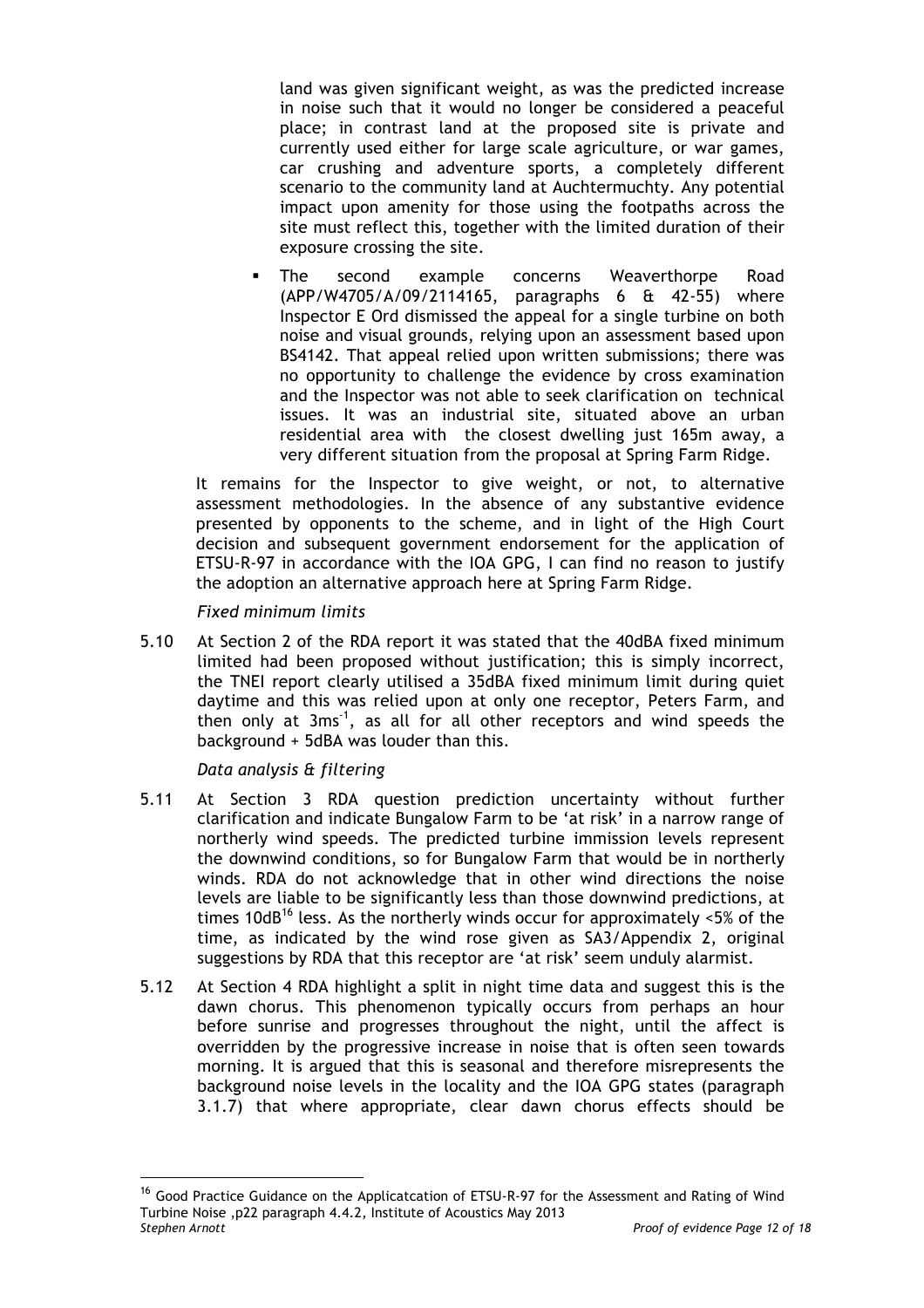land was given significant weight, as was the predicted increase in noise such that it would no longer be considered a peaceful place; in contrast land at the proposed site is private and currently used either for large scale agriculture, or war games, car crushing and adventure sports, a completely different scenario to the community land at Auchtermuchty. Any potential impact upon amenity for those using the footpaths across the site must reflect this, together with the limited duration of their exposure crossing the site.

The second example concerns Weaverthorpe Road (APP/W4705/A/09/2114165, paragraphs 6 & 42-55) where Inspector E Ord dismissed the appeal for a single turbine on both noise and visual grounds, relying upon an assessment based upon BS4142. That appeal relied upon written submissions; there was no opportunity to challenge the evidence by cross examination and the Inspector was not able to seek clarification on technical issues. It was an industrial site, situated above an urban residential area with the closest dwelling just 165m away, a very different situation from the proposal at Spring Farm Ridge.

It remains for the Inspector to give weight, or not, to alternative assessment methodologies. In the absence of any substantive evidence presented by opponents to the scheme, and in light of the High Court decision and subsequent government endorsement for the application of ETSU-R-97 in accordance with the IOA GPG, I can find no reason to justify the adoption an alternative approach here at Spring Farm Ridge.

*Fixed minimum limits*

5.10 At Section 2 of the RDA report it was stated that the 40dBA fixed minimum limited had been proposed without justification; this is simply incorrect, the TNEI report clearly utilised a 35dBA fixed minimum limit during quiet daytime and this was relied upon at only one receptor, Peters Farm, and then only at  $3ms<sup>-1</sup>$ , as all for all other receptors and wind speeds the background + 5dBA was louder than this.

*Data analysis & filtering* 

- 5.11 At Section 3 RDA question prediction uncertainty without further clarification and indicate Bungalow Farm to be 'at risk' in a narrow range of northerly wind speeds. The predicted turbine immission levels represent the downwind conditions, so for Bungalow Farm that would be in northerly winds. RDA do not acknowledge that in other wind directions the noise levels are liable to be significantly less than those downwind predictions, at times 10dB<sup>16</sup> less. As the northerly winds occur for approximately  $\leq 5\%$  of the time, as indicated by the wind rose given as SA3/Appendix 2, original suggestions by RDA that this receptor are 'at risk' seem unduly alarmist.
- 5.12 At Section 4 RDA highlight a split in night time data and suggest this is the dawn chorus. This phenomenon typically occurs from perhaps an hour before sunrise and progresses throughout the night, until the affect is overridden by the progressive increase in noise that is often seen towards morning. It is argued that this is seasonal and therefore misrepresents the background noise levels in the locality and the IOA GPG states (paragraph 3.1.7) that where appropriate, clear dawn chorus effects should be

*Stephen Arnott Proof of evidence Page 12 of 18* <sup>16</sup> Good Practice Guidance on the Applicatcation of ETSU-R-97 for the Assessment and Rating of Wind Turbine Noise ,p22 paragraph 4.4.2, Institute of Acoustics May 2013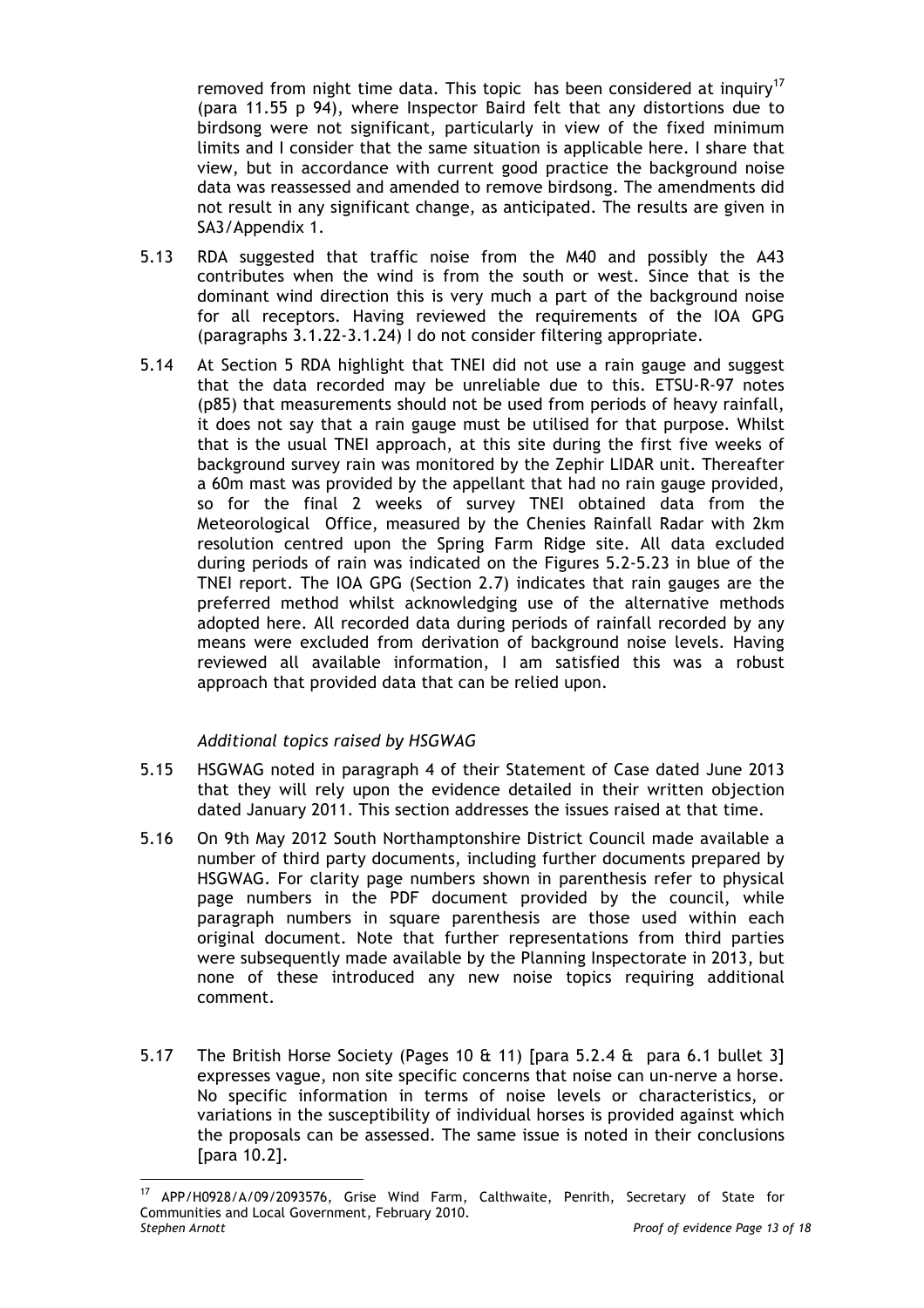removed from night time data. This topic has been considered at inquiry<sup>17</sup> (para 11.55 p 94), where Inspector Baird felt that any distortions due to birdsong were not significant, particularly in view of the fixed minimum limits and I consider that the same situation is applicable here. I share that view, but in accordance with current good practice the background noise data was reassessed and amended to remove birdsong. The amendments did not result in any significant change, as anticipated. The results are given in SA3/Appendix 1.

- 5.13 RDA suggested that traffic noise from the M40 and possibly the A43 contributes when the wind is from the south or west. Since that is the dominant wind direction this is very much a part of the background noise for all receptors. Having reviewed the requirements of the IOA GPG (paragraphs 3.1.22-3.1.24) I do not consider filtering appropriate.
- 5.14 At Section 5 RDA highlight that TNEI did not use a rain gauge and suggest that the data recorded may be unreliable due to this. ETSU-R-97 notes (p85) that measurements should not be used from periods of heavy rainfall, it does not say that a rain gauge must be utilised for that purpose. Whilst that is the usual TNEI approach, at this site during the first five weeks of background survey rain was monitored by the Zephir LIDAR unit. Thereafter a 60m mast was provided by the appellant that had no rain gauge provided, so for the final 2 weeks of survey TNEI obtained data from the Meteorological Office, measured by the Chenies Rainfall Radar with 2km resolution centred upon the Spring Farm Ridge site. All data excluded during periods of rain was indicated on the Figures 5.2-5.23 in blue of the TNEI report. The IOA GPG (Section 2.7) indicates that rain gauges are the preferred method whilst acknowledging use of the alternative methods adopted here. All recorded data during periods of rainfall recorded by any means were excluded from derivation of background noise levels. Having reviewed all available information, I am satisfied this was a robust approach that provided data that can be relied upon.

#### *Additional topics raised by HSGWAG*

- 5.15 HSGWAG noted in paragraph 4 of their Statement of Case dated June 2013 that they will rely upon the evidence detailed in their written objection dated January 2011. This section addresses the issues raised at that time.
- 5.16 On 9th May 2012 South Northamptonshire District Council made available a number of third party documents, including further documents prepared by HSGWAG. For clarity page numbers shown in parenthesis refer to physical page numbers in the PDF document provided by the council, while paragraph numbers in square parenthesis are those used within each original document. Note that further representations from third parties were subsequently made available by the Planning Inspectorate in 2013, but none of these introduced any new noise topics requiring additional comment.
- 5.17 The British Horse Society (Pages 10 & 11) [para 5.2.4 & para 6.1 bullet 3] expresses vague, non site specific concerns that noise can un-nerve a horse. No specific information in terms of noise levels or characteristics, or variations in the susceptibility of individual horses is provided against which the proposals can be assessed. The same issue is noted in their conclusions [para 10.2].

*Stephen Arnott Proof of evidence Page 13 of 18* <sup>17</sup> APP/H0928/A/09/2093576, Grise Wind Farm, Calthwaite, Penrith, Secretary of State for Communities and Local Government, February 2010.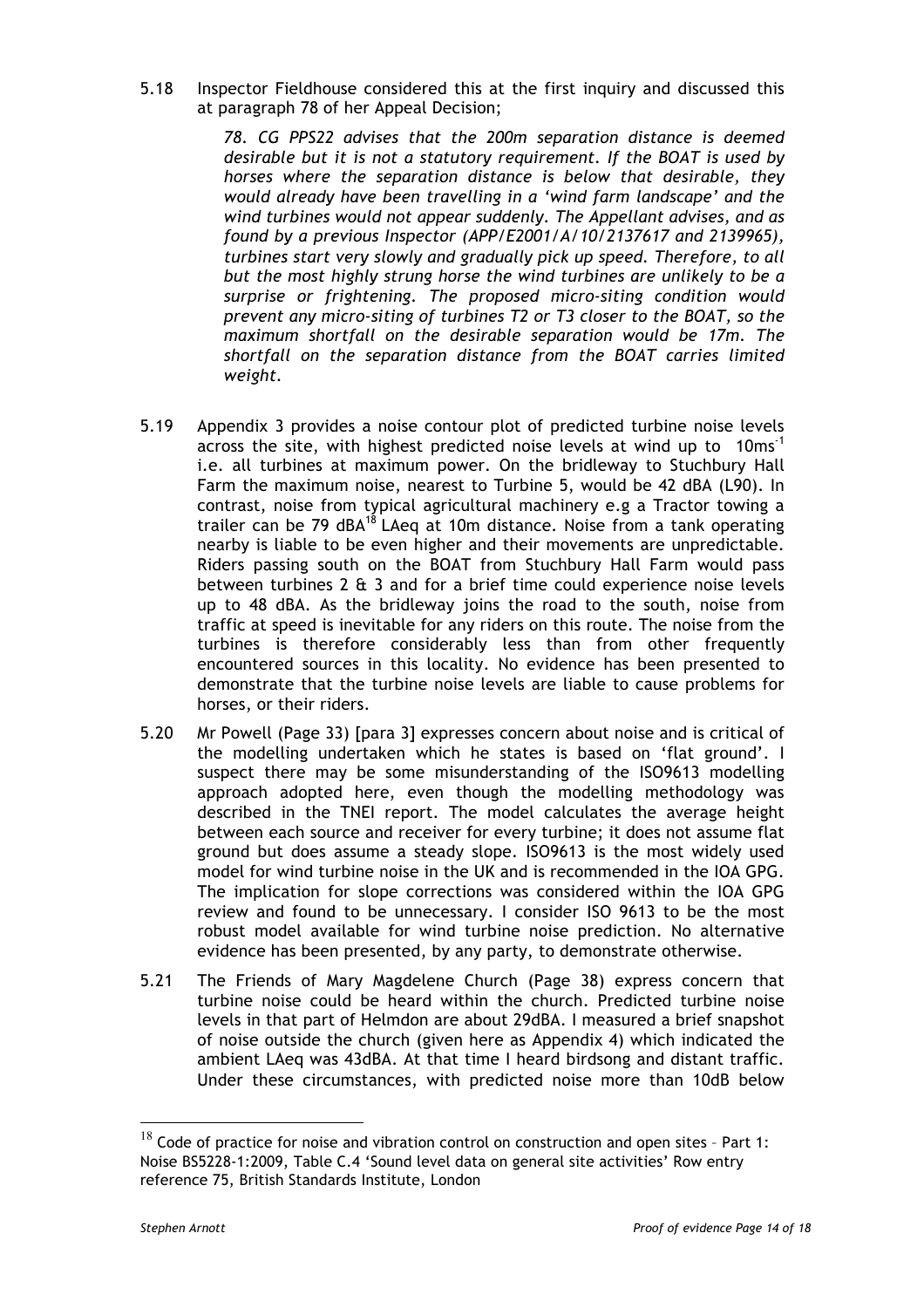5.18 Inspector Fieldhouse considered this at the first inquiry and discussed this at paragraph 78 of her Appeal Decision;

> *78. CG PPS22 advises that the 200m separation distance is deemed desirable but it is not a statutory requirement. If the BOAT is used by horses where the separation distance is below that desirable, they would already have been travelling in a 'wind farm landscape' and the wind turbines would not appear suddenly. The Appellant advises, and as found by a previous Inspector (APP/E2001/A/10/2137617 and 2139965), turbines start very slowly and gradually pick up speed. Therefore, to all but the most highly strung horse the wind turbines are unlikely to be a surprise or frightening. The proposed micro-siting condition would prevent any micro-siting of turbines T2 or T3 closer to the BOAT, so the maximum shortfall on the desirable separation would be 17m. The shortfall on the separation distance from the BOAT carries limited weight.*

- 5.19 Appendix 3 provides a noise contour plot of predicted turbine noise levels across the site, with highest predicted noise levels at wind up to  $10ms<sup>-1</sup>$ i.e. all turbines at maximum power. On the bridleway to Stuchbury Hall Farm the maximum noise, nearest to Turbine 5, would be 42 dBA (L90). In contrast, noise from typical agricultural machinery e.g a Tractor towing a trailer can be 79  $dBA^{18}$  LAeg at 10m distance. Noise from a tank operating nearby is liable to be even higher and their movements are unpredictable. Riders passing south on the BOAT from Stuchbury Hall Farm would pass between turbines 2 & 3 and for a brief time could experience noise levels up to 48 dBA. As the bridleway joins the road to the south, noise from traffic at speed is inevitable for any riders on this route. The noise from the turbines is therefore considerably less than from other frequently encountered sources in this locality. No evidence has been presented to demonstrate that the turbine noise levels are liable to cause problems for horses, or their riders.
- 5.20 Mr Powell (Page 33) [para 3] expresses concern about noise and is critical of the modelling undertaken which he states is based on 'flat ground'. I suspect there may be some misunderstanding of the ISO9613 modelling approach adopted here, even though the modelling methodology was described in the TNEI report. The model calculates the average height between each source and receiver for every turbine; it does not assume flat ground but does assume a steady slope. ISO9613 is the most widely used model for wind turbine noise in the UK and is recommended in the IOA GPG. The implication for slope corrections was considered within the IOA GPG review and found to be unnecessary. I consider ISO 9613 to be the most robust model available for wind turbine noise prediction. No alternative evidence has been presented, by any party, to demonstrate otherwise.
- 5.21 The Friends of Mary Magdelene Church (Page 38) express concern that turbine noise could be heard within the church. Predicted turbine noise levels in that part of Helmdon are about 29dBA. I measured a brief snapshot of noise outside the church (given here as Appendix 4) which indicated the ambient LAeq was 43dBA. At that time I heard birdsong and distant traffic. Under these circumstances, with predicted noise more than 10dB below

 $18$  Code of practice for noise and vibration control on construction and open sites - Part 1: Noise BS5228-1:2009, Table C.4 'Sound level data on general site activities' Row entry reference 75, British Standards Institute, London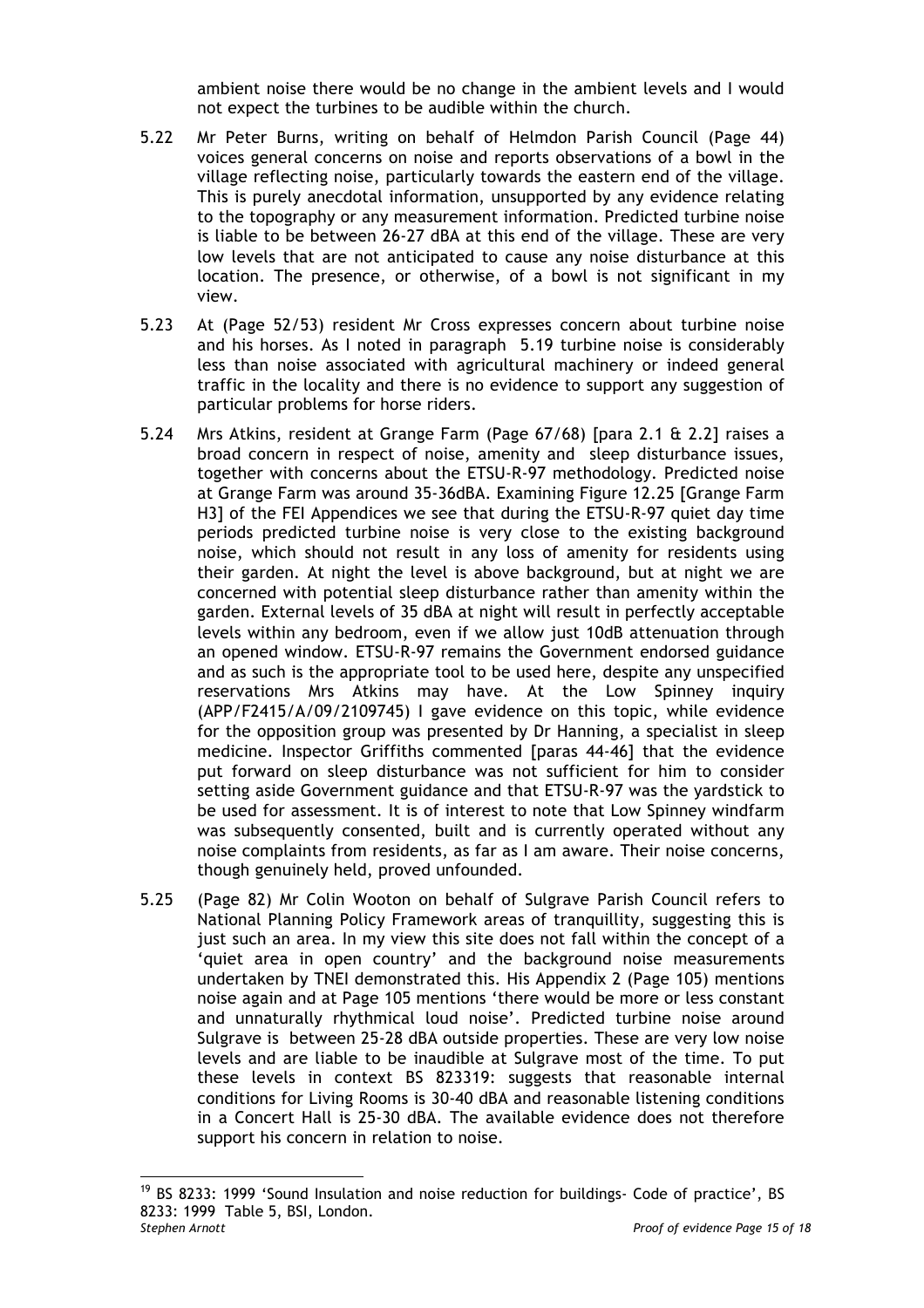ambient noise there would be no change in the ambient levels and I would not expect the turbines to be audible within the church.

- 5.22 Mr Peter Burns, writing on behalf of Helmdon Parish Council (Page 44) voices general concerns on noise and reports observations of a bowl in the village reflecting noise, particularly towards the eastern end of the village. This is purely anecdotal information, unsupported by any evidence relating to the topography or any measurement information. Predicted turbine noise is liable to be between 26-27 dBA at this end of the village. These are very low levels that are not anticipated to cause any noise disturbance at this location. The presence, or otherwise, of a bowl is not significant in my view.
- 5.23 At (Page 52/53) resident Mr Cross expresses concern about turbine noise and his horses. As I noted in paragraph 5.19 turbine noise is considerably less than noise associated with agricultural machinery or indeed general traffic in the locality and there is no evidence to support any suggestion of particular problems for horse riders.
- 5.24 Mrs Atkins, resident at Grange Farm (Page 67/68) [para 2.1 & 2.2] raises a broad concern in respect of noise, amenity and sleep disturbance issues, together with concerns about the ETSU-R-97 methodology. Predicted noise at Grange Farm was around 35-36dBA. Examining Figure 12.25 [Grange Farm H3] of the FEI Appendices we see that during the ETSU-R-97 quiet day time periods predicted turbine noise is very close to the existing background noise, which should not result in any loss of amenity for residents using their garden. At night the level is above background, but at night we are concerned with potential sleep disturbance rather than amenity within the garden. External levels of 35 dBA at night will result in perfectly acceptable levels within any bedroom, even if we allow just 10dB attenuation through an opened window. ETSU-R-97 remains the Government endorsed guidance and as such is the appropriate tool to be used here, despite any unspecified reservations Mrs Atkins may have. At the Low Spinney inquiry (APP/F2415/A/09/2109745) I gave evidence on this topic, while evidence for the opposition group was presented by Dr Hanning, a specialist in sleep medicine. Inspector Griffiths commented [paras 44-46] that the evidence put forward on sleep disturbance was not sufficient for him to consider setting aside Government guidance and that ETSU-R-97 was the yardstick to be used for assessment. It is of interest to note that Low Spinney windfarm was subsequently consented, built and is currently operated without any noise complaints from residents, as far as I am aware. Their noise concerns, though genuinely held, proved unfounded.
- 5.25 (Page 82) Mr Colin Wooton on behalf of Sulgrave Parish Council refers to National Planning Policy Framework areas of tranquillity, suggesting this is just such an area. In my view this site does not fall within the concept of a 'quiet area in open country' and the background noise measurements undertaken by TNEI demonstrated this. His Appendix 2 (Page 105) mentions noise again and at Page 105 mentions 'there would be more or less constant and unnaturally rhythmical loud noise'. Predicted turbine noise around Sulgrave is between 25-28 dBA outside properties. These are very low noise levels and are liable to be inaudible at Sulgrave most of the time. To put these levels in context BS 823319: suggests that reasonable internal conditions for Living Rooms is 30-40 dBA and reasonable listening conditions in a Concert Hall is 25-30 dBA. The available evidence does not therefore support his concern in relation to noise.

*Stephen Arnott Proof of evidence Page 15 of 18*  $19$  BS 8233: 1999 'Sound Insulation and noise reduction for buildings- Code of practice', BS 8233: 1999 Table 5, BSI, London.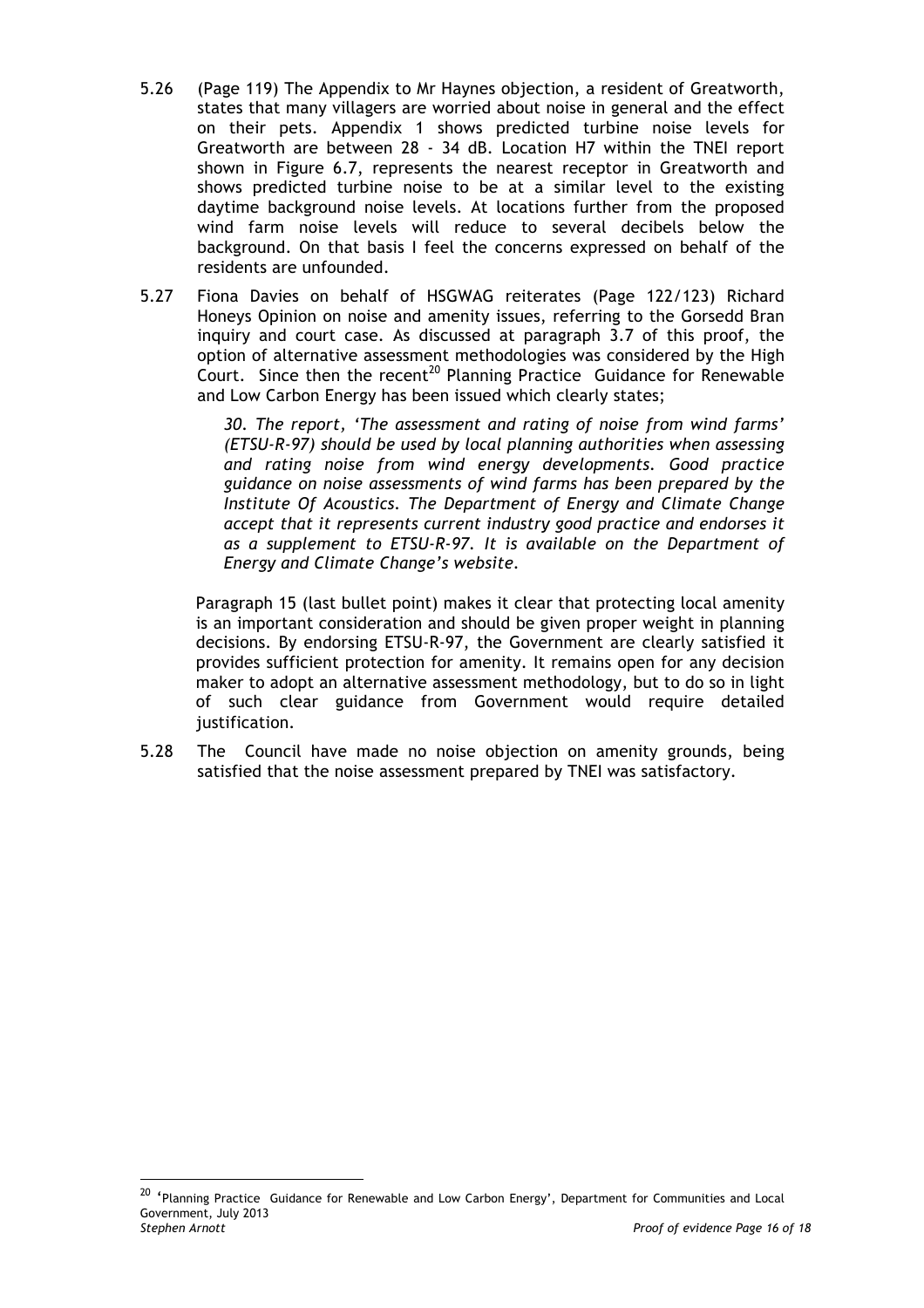- 5.26 (Page 119) The Appendix to Mr Haynes objection, a resident of Greatworth, states that many villagers are worried about noise in general and the effect on their pets. Appendix 1 shows predicted turbine noise levels for Greatworth are between 28 - 34 dB. Location H7 within the TNEI report shown in Figure 6.7, represents the nearest receptor in Greatworth and shows predicted turbine noise to be at a similar level to the existing daytime background noise levels. At locations further from the proposed wind farm noise levels will reduce to several decibels below the background. On that basis I feel the concerns expressed on behalf of the residents are unfounded.
- 5.27 Fiona Davies on behalf of HSGWAG reiterates (Page 122/123) Richard Honeys Opinion on noise and amenity issues, referring to the Gorsedd Bran inquiry and court case. As discussed at paragraph 3.7 of this proof, the option of alternative assessment methodologies was considered by the High Court. Since then the recent<sup>20</sup> Planning Practice Guidance for Renewable and Low Carbon Energy has been issued which clearly states;

*30. The report, 'The assessment and rating of noise from wind farms' (ETSU-R-97) should be used by local planning authorities when assessing and rating noise from wind energy developments. Good practice guidance on noise assessments of wind farms has been prepared by the Institute Of Acoustics. The Department of Energy and Climate Change accept that it represents current industry good practice and endorses it as a supplement to ETSU-R-97. It is available on the Department of Energy and Climate Change's website.*

Paragraph 15 (last bullet point) makes it clear that protecting local amenity is an important consideration and should be given proper weight in planning decisions. By endorsing ETSU-R-97, the Government are clearly satisfied it provides sufficient protection for amenity. It remains open for any decision maker to adopt an alternative assessment methodology, but to do so in light of such clear guidance from Government would require detailed justification.

5.28 The Council have made no noise objection on amenity grounds, being satisfied that the noise assessment prepared by TNEI was satisfactory.

*Stephen Arnott Proof of evidence Page 16 of 18* <sup>20</sup> 'Planning Practice Guidance for Renewable and Low Carbon Energy', Department for Communities and Local Government, July 2013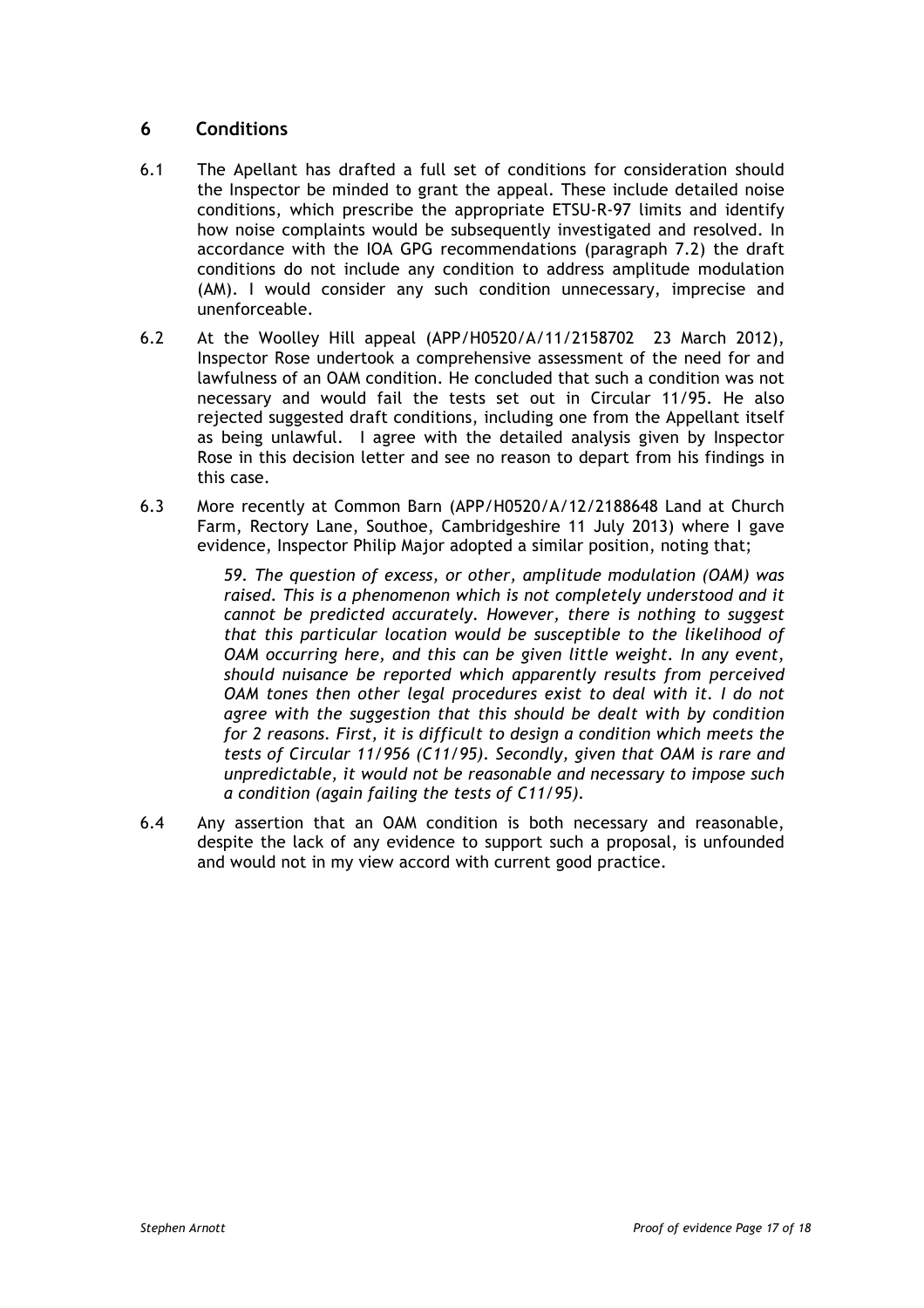## **6 Conditions**

- 6.1 The Apellant has drafted a full set of conditions for consideration should the Inspector be minded to grant the appeal. These include detailed noise conditions, which prescribe the appropriate ETSU-R-97 limits and identify how noise complaints would be subsequently investigated and resolved. In accordance with the IOA GPG recommendations (paragraph 7.2) the draft conditions do not include any condition to address amplitude modulation (AM). I would consider any such condition unnecessary, imprecise and unenforceable.
- 6.2 At the Woolley Hill appeal (APP/H0520/A/11/2158702 23 March 2012), Inspector Rose undertook a comprehensive assessment of the need for and lawfulness of an OAM condition. He concluded that such a condition was not necessary and would fail the tests set out in Circular 11/95. He also rejected suggested draft conditions, including one from the Appellant itself as being unlawful. I agree with the detailed analysis given by Inspector Rose in this decision letter and see no reason to depart from his findings in this case.
- 6.3 More recently at Common Barn (APP/H0520/A/12/2188648 Land at Church Farm, Rectory Lane, Southoe, Cambridgeshire 11 July 2013) where I gave evidence, Inspector Philip Major adopted a similar position, noting that;

*59. The question of excess, or other, amplitude modulation (OAM) was raised. This is a phenomenon which is not completely understood and it cannot be predicted accurately. However, there is nothing to suggest that this particular location would be susceptible to the likelihood of OAM occurring here, and this can be given little weight. In any event, should nuisance be reported which apparently results from perceived OAM tones then other legal procedures exist to deal with it. I do not agree with the suggestion that this should be dealt with by condition for 2 reasons. First, it is difficult to design a condition which meets the tests of Circular 11/956 (C11/95). Secondly, given that OAM is rare and unpredictable, it would not be reasonable and necessary to impose such a condition (again failing the tests of C11/95).*

6.4 Any assertion that an OAM condition is both necessary and reasonable, despite the lack of any evidence to support such a proposal, is unfounded and would not in my view accord with current good practice.